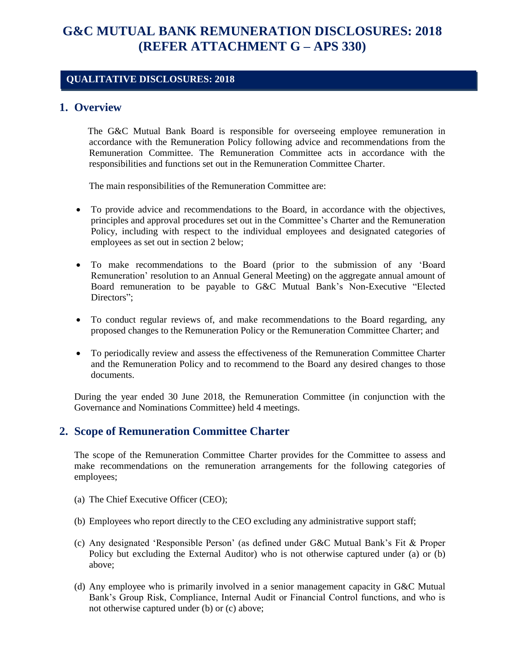# **G&C MUTUAL BANK REMUNERATION DISCLOSURES: 2018 (REFER ATTACHMENT G – APS 330)**

#### **QUALITATIVE DISCLOSURES: 2018**

#### **1. Overview**

 The G&C Mutual Bank Board is responsible for overseeing employee remuneration in accordance with the Remuneration Policy following advice and recommendations from the Remuneration Committee. The Remuneration Committee acts in accordance with the responsibilities and functions set out in the Remuneration Committee Charter.

The main responsibilities of the Remuneration Committee are:

- To provide advice and recommendations to the Board, in accordance with the objectives, principles and approval procedures set out in the Committee's Charter and the Remuneration Policy, including with respect to the individual employees and designated categories of employees as set out in section 2 below;
- To make recommendations to the Board (prior to the submission of any 'Board Remuneration' resolution to an Annual General Meeting) on the aggregate annual amount of Board remuneration to be payable to G&C Mutual Bank's Non-Executive "Elected Directors":
- To conduct regular reviews of, and make recommendations to the Board regarding, any proposed changes to the Remuneration Policy or the Remuneration Committee Charter; and
- To periodically review and assess the effectiveness of the Remuneration Committee Charter and the Remuneration Policy and to recommend to the Board any desired changes to those documents.

During the year ended 30 June 2018, the Remuneration Committee (in conjunction with the Governance and Nominations Committee) held 4 meetings.

## **2. Scope of Remuneration Committee Charter**

The scope of the Remuneration Committee Charter provides for the Committee to assess and make recommendations on the remuneration arrangements for the following categories of employees;

- (a) The Chief Executive Officer (CEO);
- (b) Employees who report directly to the CEO excluding any administrative support staff;
- (c) Any designated 'Responsible Person' (as defined under G&C Mutual Bank's Fit & Proper Policy but excluding the External Auditor) who is not otherwise captured under (a) or (b) above;
- (d) Any employee who is primarily involved in a senior management capacity in G&C Mutual Bank's Group Risk, Compliance, Internal Audit or Financial Control functions, and who is not otherwise captured under (b) or (c) above;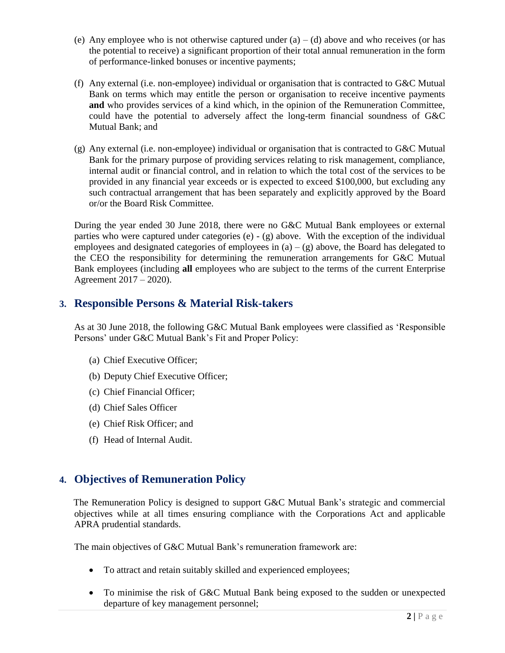- (e) Any employee who is not otherwise captured under  $(a) (d)$  above and who receives (or has the potential to receive) a significant proportion of their total annual remuneration in the form of performance-linked bonuses or incentive payments;
- (f) Any external (i.e. non-employee) individual or organisation that is contracted to G&C Mutual Bank on terms which may entitle the person or organisation to receive incentive payments **and** who provides services of a kind which, in the opinion of the Remuneration Committee, could have the potential to adversely affect the long-term financial soundness of G&C Mutual Bank; and
- (g) Any external (i.e. non-employee) individual or organisation that is contracted to G&C Mutual Bank for the primary purpose of providing services relating to risk management, compliance, internal audit or financial control, and in relation to which the total cost of the services to be provided in any financial year exceeds or is expected to exceed \$100,000, but excluding any such contractual arrangement that has been separately and explicitly approved by the Board or/or the Board Risk Committee.

During the year ended 30 June 2018, there were no G&C Mutual Bank employees or external parties who were captured under categories (e) - (g) above. With the exception of the individual employees and designated categories of employees in  $(a) - (g)$  above, the Board has delegated to the CEO the responsibility for determining the remuneration arrangements for G&C Mutual Bank employees (including **all** employees who are subject to the terms of the current Enterprise Agreement 2017 – 2020).

## **3. Responsible Persons & Material Risk-takers**

As at 30 June 2018, the following G&C Mutual Bank employees were classified as 'Responsible Persons' under G&C Mutual Bank's Fit and Proper Policy:

- (a) Chief Executive Officer;
- (b) Deputy Chief Executive Officer;
- (c) Chief Financial Officer;
- (d) Chief Sales Officer
- (e) Chief Risk Officer; and
- (f) Head of Internal Audit.

## **4. Objectives of Remuneration Policy**

 The Remuneration Policy is designed to support G&C Mutual Bank's strategic and commercial objectives while at all times ensuring compliance with the Corporations Act and applicable APRA prudential standards.

The main objectives of G&C Mutual Bank's remuneration framework are:

- To attract and retain suitably skilled and experienced employees;
- To minimise the risk of G&C Mutual Bank being exposed to the sudden or unexpected departure of key management personnel;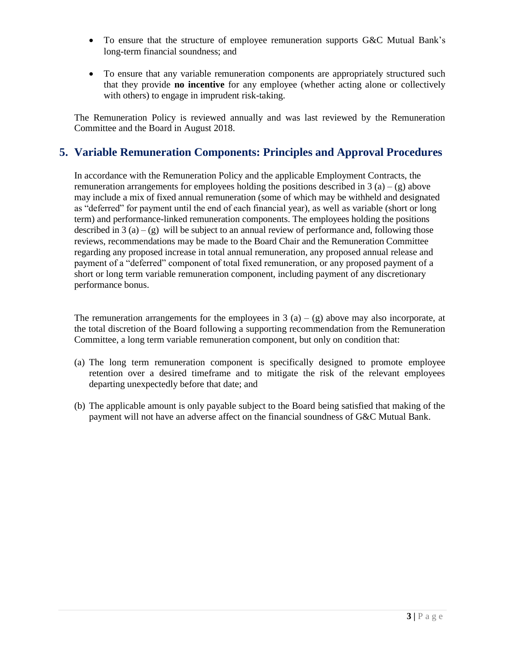- To ensure that the structure of employee remuneration supports G&C Mutual Bank's long-term financial soundness; and
- To ensure that any variable remuneration components are appropriately structured such that they provide **no incentive** for any employee (whether acting alone or collectively with others) to engage in imprudent risk-taking.

The Remuneration Policy is reviewed annually and was last reviewed by the Remuneration Committee and the Board in August 2018.

# **5. Variable Remuneration Components: Principles and Approval Procedures**

In accordance with the Remuneration Policy and the applicable Employment Contracts, the remuneration arrangements for employees holding the positions described in  $3(a) - (g)$  above may include a mix of fixed annual remuneration (some of which may be withheld and designated as "deferred" for payment until the end of each financial year), as well as variable (short or long term) and performance-linked remuneration components. The employees holding the positions described in 3 (a) – (g) will be subject to an annual review of performance and, following those reviews, recommendations may be made to the Board Chair and the Remuneration Committee regarding any proposed increase in total annual remuneration, any proposed annual release and payment of a "deferred" component of total fixed remuneration, or any proposed payment of a short or long term variable remuneration component, including payment of any discretionary performance bonus.

The remuneration arrangements for the employees in 3 (a) – (g) above may also incorporate, at the total discretion of the Board following a supporting recommendation from the Remuneration Committee, a long term variable remuneration component, but only on condition that:

- (a) The long term remuneration component is specifically designed to promote employee retention over a desired timeframe and to mitigate the risk of the relevant employees departing unexpectedly before that date; and
- (b) The applicable amount is only payable subject to the Board being satisfied that making of the payment will not have an adverse affect on the financial soundness of G&C Mutual Bank.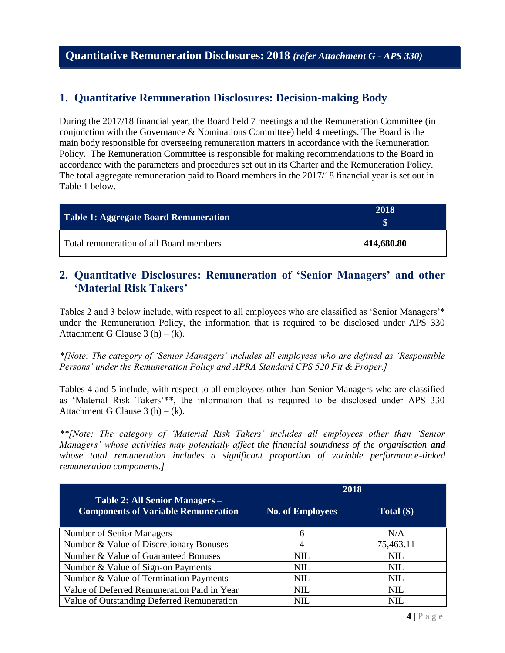## **1. Quantitative Remuneration Disclosures: Decision-making Body**

During the 2017/18 financial year, the Board held 7 meetings and the Remuneration Committee (in conjunction with the Governance & Nominations Committee) held 4 meetings. The Board is the main body responsible for overseeing remuneration matters in accordance with the Remuneration Policy. The Remuneration Committee is responsible for making recommendations to the Board in accordance with the parameters and procedures set out in its Charter and the Remuneration Policy. The total aggregate remuneration paid to Board members in the 2017/18 financial year is set out in Table 1 below.

| Table 1: Aggregate Board Remuneration   | 2018       |
|-----------------------------------------|------------|
| Total remuneration of all Board members | 414,680.80 |

## **2. Quantitative Disclosures: Remuneration of 'Senior Managers' and other 'Material Risk Takers'**

Tables 2 and 3 below include, with respect to all employees who are classified as 'Senior Managers'\* under the Remuneration Policy, the information that is required to be disclosed under APS 330 Attachment G Clause  $3(h) - (k)$ .

*\*[Note: The category of 'Senior Managers' includes all employees who are defined as 'Responsible Persons' under the Remuneration Policy and APRA Standard CPS 520 Fit & Proper.]*

Tables 4 and 5 include, with respect to all employees other than Senior Managers who are classified as 'Material Risk Takers'\*\*, the information that is required to be disclosed under APS 330 Attachment G Clause  $3(h) - (k)$ .

*\*\*[Note: The category of 'Material Risk Takers' includes all employees other than 'Senior Managers' whose activities may potentially affect the financial soundness of the organisation and whose total remuneration includes a significant proportion of variable performance-linked remuneration components.]*

|                                                                              | 2018                    |              |  |
|------------------------------------------------------------------------------|-------------------------|--------------|--|
| Table 2: All Senior Managers -<br><b>Components of Variable Remuneration</b> | <b>No. of Employees</b> | Total $(\$)$ |  |
| <b>Number of Senior Managers</b>                                             | 6                       | N/A          |  |
| Number & Value of Discretionary Bonuses                                      | 4                       | 75,463.11    |  |
| Number & Value of Guaranteed Bonuses                                         | NIL.                    | <b>NIL</b>   |  |
| Number & Value of Sign-on Payments                                           | <b>NIL</b>              | <b>NIL</b>   |  |
| Number & Value of Termination Payments                                       | <b>NIL</b>              | <b>NIL</b>   |  |
| Value of Deferred Remuneration Paid in Year                                  | <b>NIL</b>              | <b>NIL</b>   |  |
| Value of Outstanding Deferred Remuneration                                   | NIL                     | NIL          |  |